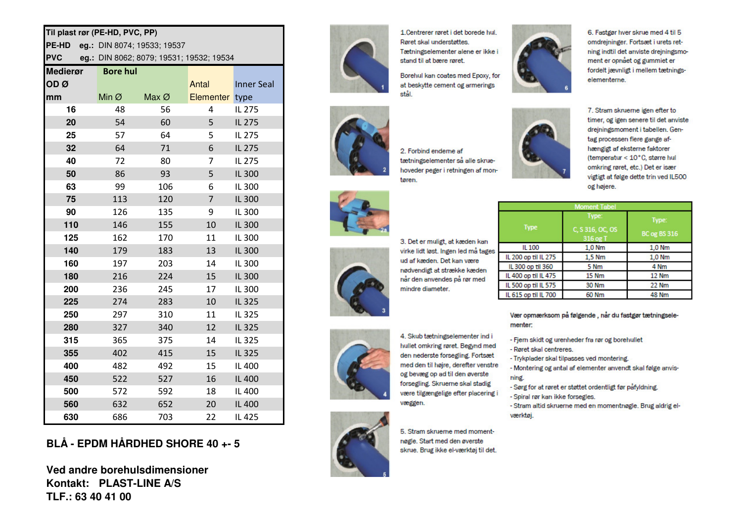## Til plast rør (PE-HD, PVC, PP)

PE-HD eq.: DIN 8074; 19533; 19537

**PVC** eq.: DIN 8062; 8079; 19531; 19532; 19534

| <b>Medierør</b> | <b>Bore hul</b>   |                   |                  |                   |
|-----------------|-------------------|-------------------|------------------|-------------------|
| ODØ             |                   |                   | Antal            | <b>Inner Seal</b> |
| mm              | Min $\varnothing$ | Max $\varnothing$ | <b>Elementer</b> | type              |
| 16              | 48                | 56                | 4                | IL 275            |
| 20              | 54                | 60                | 5                | IL 275            |
| 25              | 57                | 64                | 5                | IL 275            |
| 32              | 64                | 71                | 6                | IL 275            |
| 40              | 72                | 80                | 7                | IL 275            |
| 50              | 86                | 93                | 5                | IL 300            |
| 63              | 99                | 106               | 6                | IL 300            |
| 75              | 113               | 120               | 7                | IL 300            |
| 90              | 126               | 135               | 9                | IL 300            |
| 110             | 146               | 155               | 10               | IL 300            |
| 125             | 162               | 170               | 11               | IL 300            |
| 140             | 179               | 183               | 13               | IL 300            |
| 160             | 197               | 203               | 14               | IL 300            |
| 180             | 216               | 224               | 15               | IL 300            |
| 200             | 236               | 245               | 17               | IL 300            |
| 225             | 274               | 283               | 10               | IL 325            |
| 250             | 297               | 310               | 11               | IL 325            |
| 280             | 327               | 340               | 12               | IL 325            |
| 315             | 365               | 375               | 14               | IL 325            |
| 355             | 402               | 415               | 15               | IL 325            |
| 400             | 482               | 492               | 15               | IL 400            |
| 450             | 522               | 527               | 16               | IL 400            |
| 500             | 572               | 592               | 18               | IL 400            |
| 560             | 632               | 652               | 20               | IL 400            |
| 630             | 686               | 703               | 22               | IL 425            |

## BLÅ - EPDM HÅRDHED SHORE 40 +- 5

Ved andre borehulsdimensioner Kontakt: PLAST-LINE A/S TLF.: 63 40 41 00



1 Centrerer røret i det borede hul Røret skal understøttes Tætningselementer alene er ikke i stand til at bære røret.

Borehul kan coates med Epoxy, for at beskytte cement og armerings stål



2. Forbind enderne af tætningselementer så alle skruehoveder peger i retningen af montøren.



6. Fastgør hver skrue med 4 til 5 omdreininger. Fortsæt i urets retning indtil det anviste drejningsmoment er opnået og gummiet er fordelt jævnligt i mellem tætningselementerne.



7. Stram skruerne igen efter to timer, og igen senere til det anviste drejningsmoment i tabellen. Gentag processen flere gange afhængigt af eksterne faktorer (temperatur < 10°C, større hul omkring røret, etc.) Det er især vigtigt at følge dette trin ved IL500 og højere.

| <b>Moment Tabel</b>  |                                       |                              |  |  |
|----------------------|---------------------------------------|------------------------------|--|--|
| <b>Type</b>          | Type:<br>C, S 316, OC, OS<br>316 og T | Type:<br><b>BC</b> og BS 316 |  |  |
| IL 100               | 1.0 Nm                                | 1,0 Nm                       |  |  |
| IL 200 op til IL 275 | 1,5 Nm                                | 1,0 Nm                       |  |  |
| IL 300 op til 360    | 5 Nm                                  | 4 Nm                         |  |  |
| IL 400 op til IL 475 | <b>15 Nm</b>                          | <b>12 Nm</b>                 |  |  |
| IL 500 op til IL 575 | <b>30 Nm</b>                          | <b>22 Nm</b>                 |  |  |
| IL 615 op til IL 700 | 60 Nm                                 | <b>48 Nm</b>                 |  |  |



3. Det er muligt, at kæden kan virke lidt løst. Ingen led må tages ud af kæden. Det kan være nødvendigt at strække kæden når den anvendes på rør med mindre diameter.



4. Skub tætningselementer ind i hullet omkring røret. Begynd med den nederste forsegling. Fortsæt med den til højre, derefter venstre og bevæg op ad til den øverste forsegling. Skruerne skal stadig være tilgængelige efter placering i væggen.



5. Stram skruerne med momentnøgle. Start med den øverste skrue. Brug ikke el-værktøj til det.

Vær opmærksom på følgende, når du fastgør tætningselementer:

- Fjern skidt og urenheder fra rør og borehullet
- Røret skal centreres.
- Trykplader skal tilpasses ved montering.

- Montering og antal af elementer anvendt skal følge anvisning.

- Sørg for at røret er støttet ordentligt før påfyldning.
- Spiral rør kan ikke forsegles.

- Stram altid skruerne med en momentnøgle. Brug aldrig elværktøj.